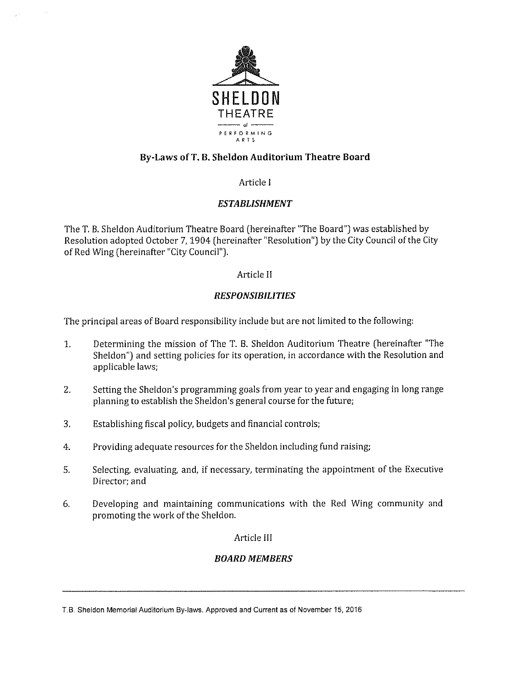

# By -Laws of T. B. Sheldon Auditorium Theatre Board

## Article <sup>I</sup>

## ESTABLISHMENT

The T. B. Sheldon Auditorium Theatre Board ( hereinafter "The Board") was established by Resolution adopted October 7, 1904 (hereinafter "Resolution") by the City Council of the City of Red Wing (hereinafter "City Council").

## Article II

## RESPONSIBILITIES

The principal areas of Board responsibility include but are not limited to the following:

- 1. Determining the mission of The T. B. Sheldon Auditorium Theatre ( hereinafter " The Sheldon") and setting policies for its operation, in accordance with the Resolution and applicable laws;
- 2. Setting the Sheldon's programming goals from year to year and engaging in long range planning to establish the Sheldon's general course for the future;
- 3. Establishing fiscal policy, budgets and financial controls;
- 4. Providing adequate resources for the Sheldon including fund raising;
- S. Selecting, evaluating, and, if necessary, terminating the appointment of the Executive Director; and
- 6. Developing and maintaining communications with the Red Wing community and promoting the work of the Sheldon.

## Article III

# BOARD MEMBERS

T.B. Sheldon Memorial Auditorium By-laws. Approved and Current as of November 15, 2016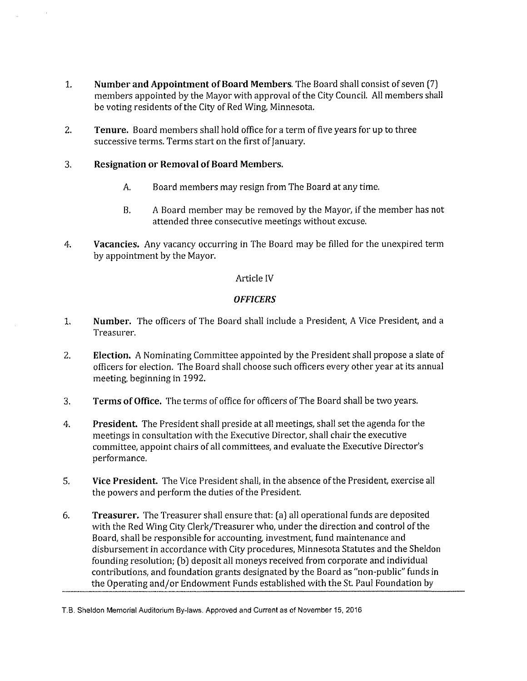- 1. Number and Appointment of Board Members. The Board shall consist of seven [7] members appointed by the Mayor with approval of the City Council. All members shall be voting residents of the City of Red Wing, Minnesota.
- 2. Tenure. Board members shall hold office for a term of five years for up to three successive terms. Terms start on the first of January.
- 3. Resignation or Removal of Board Members.
	- A. Board members may resign from The Board at any time.
	- B. A Board member may be removed by the Mayor, if the member has not attended three consecutive meetings without excuse.
- 4. Vacancies. Any vacancy occurring in The Board may be filled for the unexpired term by appointment by the Mayor.

## Article IV

## **OFFICERS**

- 1. Number. The officers of The Board shall include <sup>a</sup> President, A Vice President, and a Treasurer.
- 2. Election. A Nominating Committee appointed by the President shall propose a slate of officers for election. The Board shall choose such officers every other year at its annual meeting, beginning in 1992.
- 3. Terms of Office. The terms of office for officers of The Board shall be two years.
- 4. President. The President shall preside at all meetings, shall set the agenda for the meetings in consultation with the Executive Director, shall chair the executive committee, appoint chairs of all committees, and evaluate the Executive Director's performance.
- S. Vice President. The Vice President shall, in the absence of the President, exercise all the powers and perform the duties of the President.
- 6. Treasurer. The Treasurer shall ensure that: (a) all operational funds are deposited with the Red Wing City Clerk/Treasurer who, under the direction and control of the Board, shall be responsible for accounting, investment, fund maintenance and disbursement in accordance with City procedures, Minnesota Statutes and the Sheldon founding resolution; ( b) deposit all moneys received from corporate and individual contributions, and foundation grants designated by the Board as " non- public" funds in the Operating and/or Endowment Funds established with the St. Paul Foundation by

T.B. Sheldon Memorial Auditorium By-laws. Approved and Current as of November 15, 2016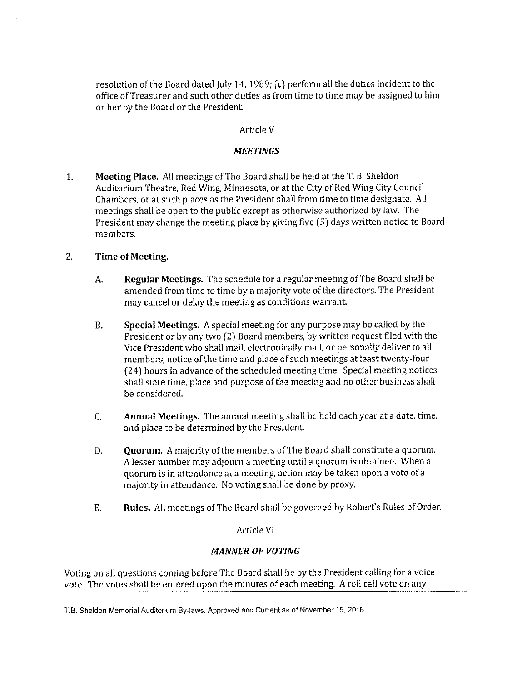resolution of the Board dated July 14, 1989; (c) perform all the duties incident to the office of Treasurer and such other duties as from time to time may be assigned to him or her by the Board or the President.

## Article V

## **MEETINGS**

1. Meeting Place. All meetings of The Board shall be held at the T. B. Sheldon Auditorium Theatre, Red Wing, Minnesota, or at the City of Red Wing City Council Chambers, or at such places as the President shall from time to time designate. All meetings shall be open to the public except as otherwise authorized by law. The President may change the meeting place by giving five (5) days written notice to Board members.

## 2. Time of Meeting.

- A. Regular Meetings. The schedule for a regular meeting of The Board shall be amended from time to time by <sup>a</sup> majority vote of the directors. The President may cancel or delay the meeting as conditions warrant.
- B. Special Meetings. A special meeting for any purpose may be called by the President or by any two (2) Board members, by written request filed with the Vice President who shall mail, electronically mail, or personally deliver to all members, notice of the time and place of such meetings at least twenty-four 24) hours in advance of the scheduled meeting time. Special meeting notices shall state time, place and purpose of the meeting and no other business shall be considered.
- C. Annual Meetings. The annual meeting shall be held each year at <sup>a</sup> date, time, and place to be determined by the President.
- D. Quorum. A majority of the members of The Board shall constitute <sup>a</sup> quorum. A lesser number may adjourn <sup>a</sup> meeting until a quorum is obtained. When a quorum is in attendance at a meeting, action may be taken upon <sup>a</sup> vote of a majority in attendance. No voting shall be done by proxy.
- E. Rules. All meetings of The Board shall be governed by Robert's Rules of Order.

## Article VI

## MANNER OF VOTING

Voting on all questions coming before The Board shall be by the President calling for <sup>a</sup> voice vote. The votes shall be entered upon the minutes of each meeting. A roll call vote on any

T.B. Sheldon Memorial Auditorium By-laws. Approved and Current as of November 15, 2016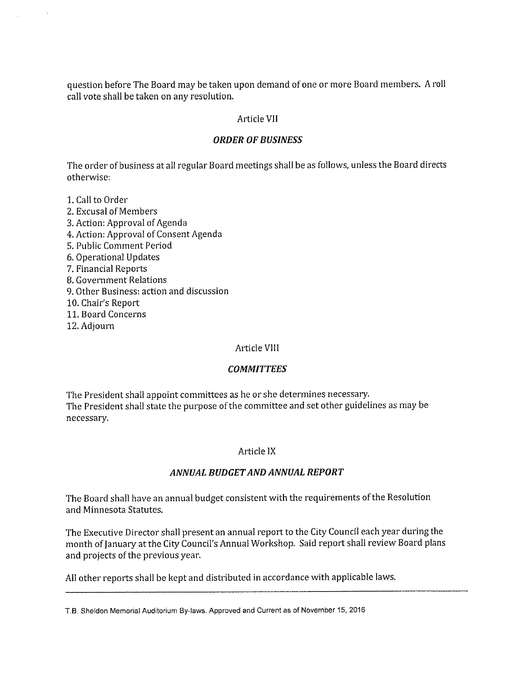question before The Board may be taken upon demand of one or more Board members. A roll call vote shall be taken on any resolution.

## Article VII

## ORDER OF BUSINESS

The order of business at all regular Board meetings shall be as follows, unless the Board directs otherwise:

- 1. Call to Order 2. Excusal of Members 3. Action: Approval of Agenda 4. Action: Approval of Consent Agenda S. Public Comment Period 6. Operational Updates 7, Financial Reports B. Government Relations 9. Other Business: action and discussion 10. Chair's Report 11. Board Concerns
- 12. Adjourn

#### Article Vill

#### **COMMITTEES**

The President shall appoint committees as he or she determines necessary. The President shall state the purpose of the committee and set other guidelines as may be necessary.

#### Article IX

#### ANNUAL BUDGETAND ANNUAL REPORT

The Board shall have an annual budget consistent with the requirements of the Resolution and Minnesota Statutes.

The Executive Director shall present an annual report to the City Council each year during the month of January at the City Council's Annual Workshop. Said report shall review Board plans and projects of the previous year.

All other reports shall be kept and distributed in accordance with applicable laws.

T.B. Sheldon Memorial Auditorium By-laws. Approved and Current as of November 15, 2016